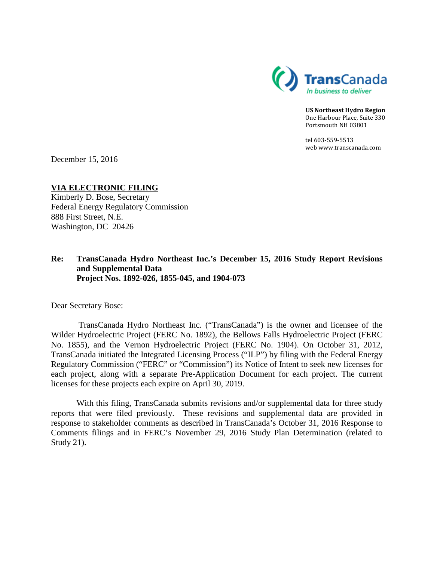

**US Northeast Hydro Region** One Harbour Place, Suite 330 Portsmouth NH 03801

tel 603-559-5513 web www.transcanada.com

December 15, 2016

**VIA ELECTRONIC FILING** Kimberly D. Bose, Secretary

Federal Energy Regulatory Commission 888 First Street, N.E. Washington, DC 20426

## **Re: TransCanada Hydro Northeast Inc.'s December 15, 2016 Study Report Revisions and Supplemental Data Project Nos. 1892-026, 1855-045, and 1904-073**

Dear Secretary Bose:

TransCanada Hydro Northeast Inc. ("TransCanada") is the owner and licensee of the Wilder Hydroelectric Project (FERC No. 1892), the Bellows Falls Hydroelectric Project (FERC No. 1855), and the Vernon Hydroelectric Project (FERC No. 1904). On October 31, 2012, TransCanada initiated the Integrated Licensing Process ("ILP") by filing with the Federal Energy Regulatory Commission ("FERC" or "Commission") its Notice of Intent to seek new licenses for each project, along with a separate Pre-Application Document for each project. The current licenses for these projects each expire on April 30, 2019.

With this filing, TransCanada submits revisions and/or supplemental data for three study reports that were filed previously. These revisions and supplemental data are provided in response to stakeholder comments as described in TransCanada's October 31, 2016 Response to Comments filings and in FERC's November 29, 2016 Study Plan Determination (related to Study 21).